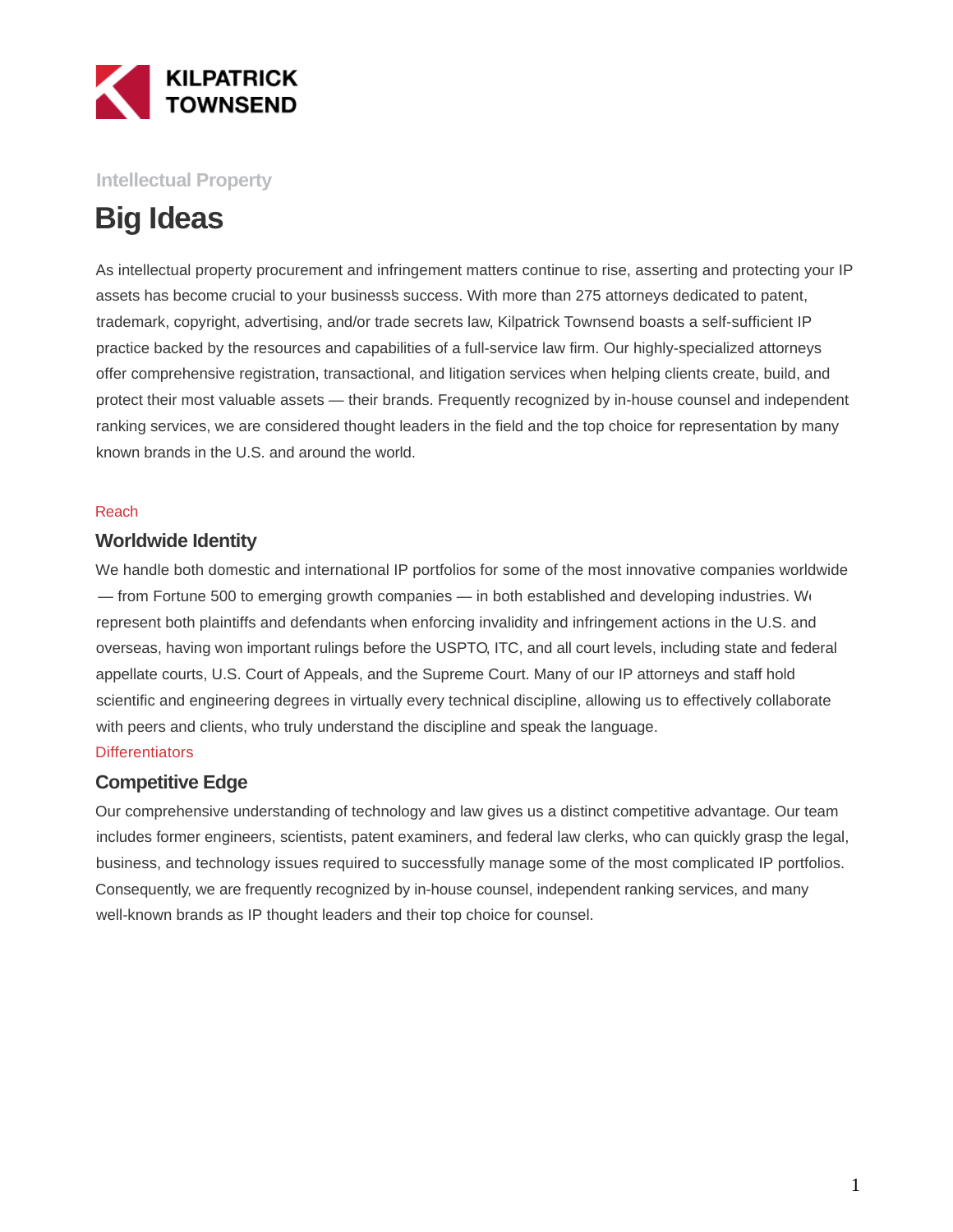

### **Intellectual Property**

# **Big Ideas**

As intellectual property procurement and infringement matters continue to rise, asserting and protecting your IP assets has become crucial to your business's success. With more than 275 attorneys dedicated to patent, trademark, copyright, advertising, and/or trade secrets law, Kilpatrick Townsend boasts a self-sufficient IP practice backed by the resources and capabilities of a full-service law firm. Our highly-specialized attorneys offer comprehensive registration, transactional, and litigation services when helping clients create, build, and protect their most valuable assets — their brands. Frequently recognized by in-house counsel and independent ranking services, we are considered thought leaders in the field and the top choice for representation by many known brands in the U.S. and around the world.

#### Reach

#### **Worldwide Identity**

We handle both domestic and international IP portfolios for some of the most innovative companies worldwide — from Fortune 500 to emerging growth companies — in both established and developing industries. We represent both plaintiffs and defendants when enforcing invalidity and infringement actions in the U.S. and overseas, having won important rulings before the USPTO, ITC, and all court levels, including state and federal appellate courts, U.S. Court of Appeals, and the Supreme Court. Many of our IP attorneys and staff hold scientific and engineering degrees in virtually every technical discipline, allowing us to effectively collaborate with peers and clients, who truly understand the discipline and speak the language.

#### **Differentiators**

#### **Competitive Edge**

Our comprehensive understanding of technology and law gives us a distinct competitive advantage. Our team includes former engineers, scientists, patent examiners, and federal law clerks, who can quickly grasp the legal, business, and technology issues required to successfully manage some of the most complicated IP portfolios. Consequently, we are frequently recognized by in-house counsel, independent ranking services, and many well-known brands as IP thought leaders and their top choice for counsel.